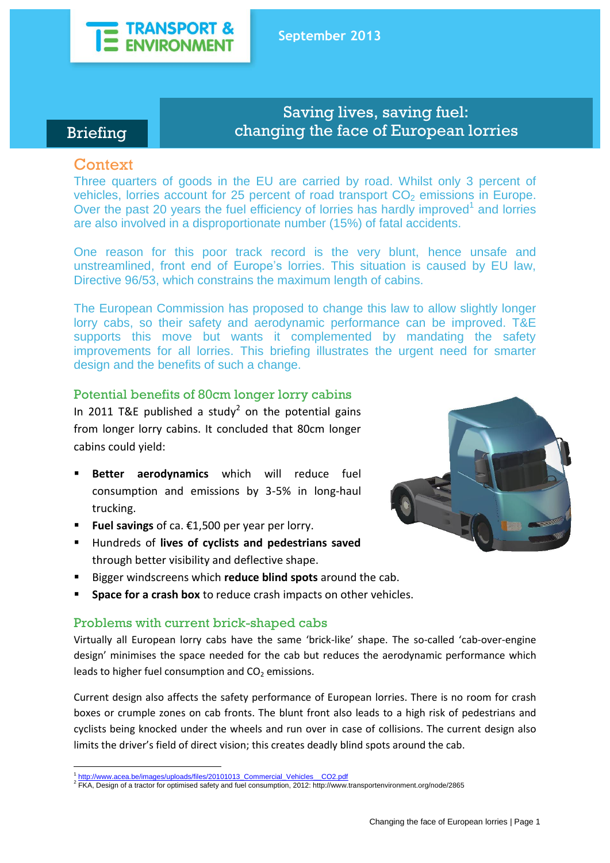

# Briefing

# Saving lives, saving fuel: changing the face of European lorries

# **Context**

Three quarters of goods in the EU are carried by road. Whilst only 3 percent of vehicles, lorries account for 25 percent of road transport  $CO<sub>2</sub>$  emissions in Europe. Over the past 20 years the fuel efficiency of lorries has hardly improved $1$  and lorries are also involved in a disproportionate number (15%) of fatal accidents.

One reason for this poor track record is the very blunt, hence unsafe and unstreamlined, front end of Europe's lorries. This situation is caused by EU law, Directive 96/53, which constrains the maximum length of cabins.

The European Commission has proposed to change this law to allow slightly longer lorry cabs, so their safety and aerodynamic performance can be improved. T&E supports this move but wants it complemented by mandating the safety improvements for all lorries. This briefing illustrates the urgent need for smarter design and the benefits of such a change.

## Potential benefits of 80cm longer lorry cabins

In 2011 T&E published a study<sup>2</sup> on the potential gains from longer lorry cabins. It concluded that 80cm longer cabins could yield:

- **Better aerodynamics** which will reduce fuel consumption and emissions by 3-5% in long-haul trucking.
- **Fuel savings** of ca. €1,500 per year per lorry.
- Hundreds of **lives of cyclists and pedestrians saved** through better visibility and deflective shape.
- Bigger windscreens which **reduce blind spots** around the cab.
- **Space for a crash box** to reduce crash impacts on other vehicles.

## Problems with current brick-shaped cabs

Virtually all European lorry cabs have the same 'brick-like' shape. The so-called 'cab-over-engine design' minimises the space needed for the cab but reduces the aerodynamic performance which leads to higher fuel consumption and  $CO<sub>2</sub>$  emissions.

Current design also affects the safety performance of European lorries. There is no room for crash boxes or crumple zones on cab fronts. The blunt front also leads to a high risk of pedestrians and cyclists being knocked under the wheels and run over in case of collisions. The current design also limits the driver's field of direct vision; this creates deadly blind spots around the cab.



<sup>1</sup> 1 [http://www.acea.be/images/uploads/files/20101013\\_Commercial\\_Vehicles\\_\\_CO2.pdf](http://www.acea.be/images/uploads/files/20101013_Commercial_Vehicles__CO2.pdf)

<sup>&</sup>lt;sup>2</sup> FKA, Design of a tractor for optimised safety and fuel consumption, 2012: http://www.transportenvironment.org/node/2865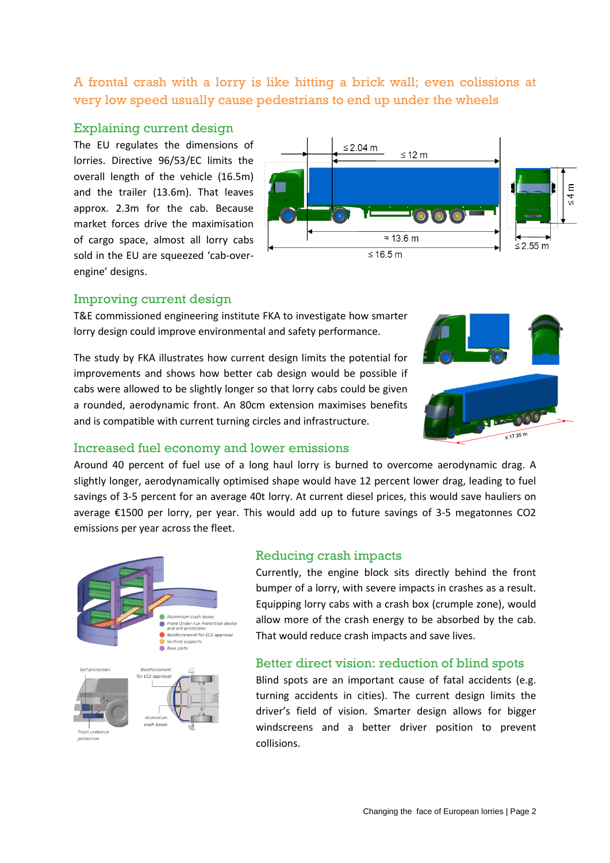A frontal crash with a lorry is like hitting a brick wall; even colissions at very low speed usually cause pedestrians to end up under the wheels

#### Explaining current design

The EU regulates the dimensions of lorries. Directive 96/53/EC limits the overall length of the vehicle (16.5m) and the trailer (13.6m). That leaves approx. 2.3m for the cab. Because market forces drive the maximisation of cargo space, almost all lorry cabs sold in the EU are squeezed 'cab-overengine' designs.



#### Improving current design

T&E commissioned engineering institute FKA to investigate how smarter lorry design could improve environmental and safety performance.

The study by FKA illustrates how current design limits the potential for improvements and shows how better cab design would be possible if cabs were allowed to be slightly longer so that lorry cabs could be given a rounded, aerodynamic front. An 80cm extension maximises benefits and is compatible with current turning circles and infrastructure.



#### Increased fuel economy and lower emissions

Around 40 percent of fuel use of a long haul lorry is burned to overcome aerodynamic drag. A slightly longer, aerodynamically optimised shape would have 12 percent lower drag, leading to fuel savings of 3-5 percent for an average 40t lorry. At current diesel prices, this would save hauliers on average €1500 per lorry, per year. This would add up to future savings of 3-5 megatonnes CO2 emissions per year across the fleet.



#### Reducing crash impacts

Currently, the engine block sits directly behind the front bumper of a lorry, with severe impacts in crashes as a result. Equipping lorry cabs with a crash box (crumple zone), would allow more of the crash energy to be absorbed by the cab. That would reduce crash impacts and save lives.

#### Better direct vision: reduction of blind spots

Blind spots are an important cause of fatal accidents (e.g. turning accidents in cities). The current design limits the driver's field of vision. Smarter design allows for bigger windscreens and a better driver position to prevent collisions.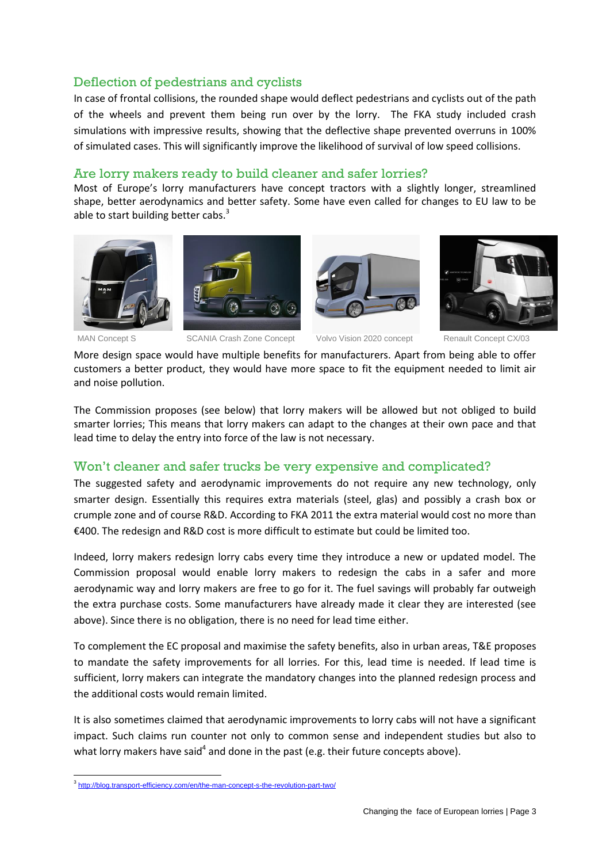# Deflection of pedestrians and cyclists

In case of frontal collisions, the rounded shape would deflect pedestrians and cyclists out of the path of the wheels and prevent them being run over by the lorry. The FKA study included crash simulations with impressive results, showing that the deflective shape prevented overruns in 100% of simulated cases. This will significantly improve the likelihood of survival of low speed collisions.

### Are lorry makers ready to build cleaner and safer lorries?

Most of Europe's lorry manufacturers have concept tractors with a slightly longer, streamlined shape, better aerodynamics and better safety. Some have even called for changes to EU law to be able to start building better cabs.<sup>3</sup>











MAN Concept S SCANIA Crash Zone Concept Volvo Vision 2020 concept Renault Concept CX/03

More design space would have multiple benefits for manufacturers. Apart from being able to offer customers a better product, they would have more space to fit the equipment needed to limit air and noise pollution.

The Commission proposes (see below) that lorry makers will be allowed but not obliged to build smarter lorries; This means that lorry makers can adapt to the changes at their own pace and that lead time to delay the entry into force of the law is not necessary.

## Won't cleaner and safer trucks be very expensive and complicated?

The suggested safety and aerodynamic improvements do not require any new technology, only smarter design. Essentially this requires extra materials (steel, glas) and possibly a crash box or crumple zone and of course R&D. According to FKA 2011 the extra material would cost no more than €400. The redesign and R&D cost is more difficult to estimate but could be limited too.

Indeed, lorry makers redesign lorry cabs every time they introduce a new or updated model. The Commission proposal would enable lorry makers to redesign the cabs in a safer and more aerodynamic way and lorry makers are free to go for it. The fuel savings will probably far outweigh the extra purchase costs. Some manufacturers have already made it clear they are interested (see above). Since there is no obligation, there is no need for lead time either.

To complement the EC proposal and maximise the safety benefits, also in urban areas, T&E proposes to mandate the safety improvements for all lorries. For this, lead time is needed. If lead time is sufficient, lorry makers can integrate the mandatory changes into the planned redesign process and the additional costs would remain limited.

It is also sometimes claimed that aerodynamic improvements to lorry cabs will not have a significant impact. Such claims run counter not only to common sense and independent studies but also to what lorry makers have said<sup>4</sup> and done in the past (e.g. their future concepts above).

<sup>1</sup> <sup>3</sup> <http://blog.transport-efficiency.com/en/the-man-concept-s-the-revolution-part-two/>